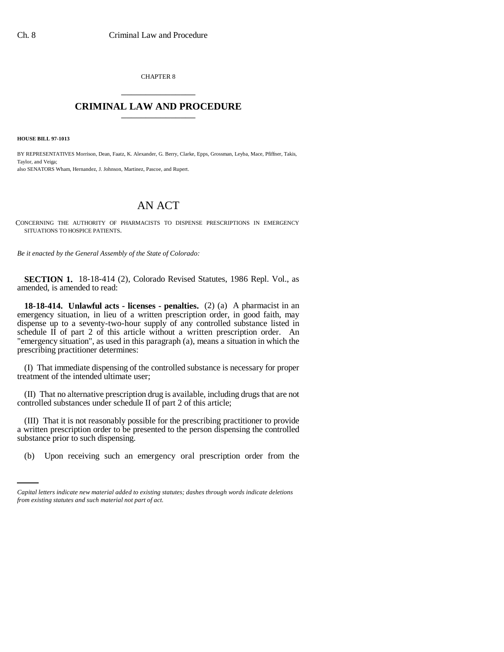CHAPTER 8 \_\_\_\_\_\_\_\_\_\_\_\_\_\_\_

## **CRIMINAL LAW AND PROCEDURE** \_\_\_\_\_\_\_\_\_\_\_\_\_\_\_

**HOUSE BILL 97-1013**

BY REPRESENTATIVES Morrison, Dean, Faatz, K. Alexander, G. Berry, Clarke, Epps, Grossman, Leyba, Mace, Pfiffner, Takis, Taylor, and Veiga; also SENATORS Wham, Hernandez, J. Johnson, Martinez, Pascoe, and Rupert.

## AN ACT

CONCERNING THE AUTHORITY OF PHARMACISTS TO DISPENSE PRESCRIPTIONS IN EMERGENCY SITUATIONS TO HOSPICE PATIENTS.

*Be it enacted by the General Assembly of the State of Colorado:*

**SECTION 1.** 18-18-414 (2), Colorado Revised Statutes, 1986 Repl. Vol., as amended, is amended to read:

**18-18-414. Unlawful acts - licenses - penalties.** (2) (a) A pharmacist in an emergency situation, in lieu of a written prescription order, in good faith, may dispense up to a seventy-two-hour supply of any controlled substance listed in schedule  $\overline{II}$  of part 2 of this article without a written prescription order. An "emergency situation", as used in this paragraph (a), means a situation in which the prescribing practitioner determines:

(I) That immediate dispensing of the controlled substance is necessary for proper treatment of the intended ultimate user;

(II) That no alternative prescription drug is available, including drugs that are not controlled substances under schedule II of part 2 of this article;

substance prior to such dispensing. (III) That it is not reasonably possible for the prescribing practitioner to provide a written prescription order to be presented to the person dispensing the controlled

(b) Upon receiving such an emergency oral prescription order from the

*Capital letters indicate new material added to existing statutes; dashes through words indicate deletions from existing statutes and such material not part of act.*